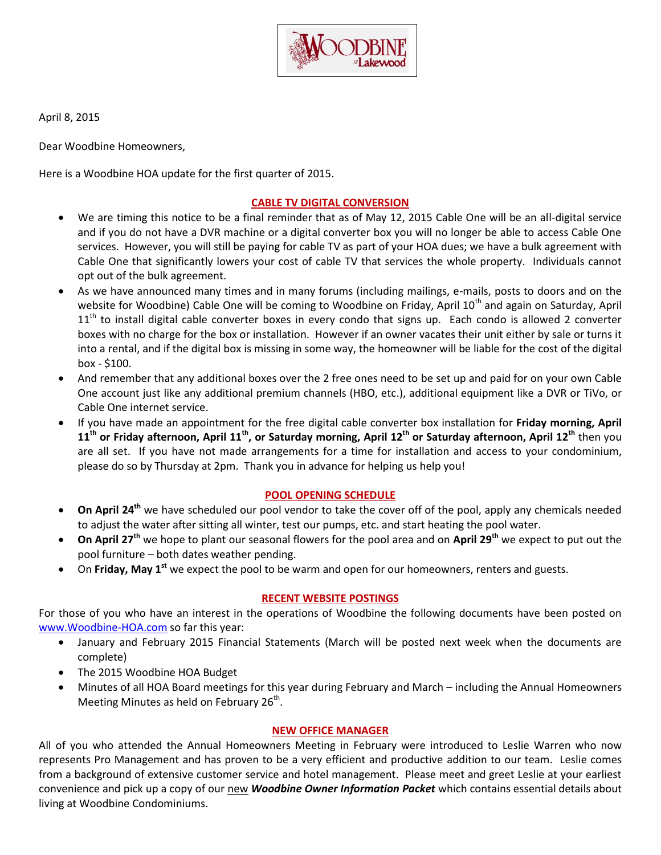

April 8, 2015

Dear Woodbine Homeowners,

Here is a Woodbine HOA update for the first quarter of 2015.

# **CABLE TV DIGITAL CONVERSION**

- We are timing this notice to be a final reminder that as of May 12, 2015 Cable One will be an all-digital service and if you do not have a DVR machine or a digital converter box you will no longer be able to access Cable One services. However, you will still be paying for cable TV as part of your HOA dues; we have a bulk agreement with Cable One that significantly lowers your cost of cable TV that services the whole property. Individuals cannot opt out of the bulk agreement.
- As we have announced many times and in many forums (including mailings, e-mails, posts to doors and on the website for Woodbine) Cable One will be coming to Woodbine on Friday, April 10<sup>th</sup> and again on Saturday, April  $11<sup>th</sup>$  to install digital cable converter boxes in every condo that signs up. Each condo is allowed 2 converter boxes with no charge for the box or installation. However if an owner vacates their unit either by sale or turns it into a rental, and if the digital box is missing in some way, the homeowner will be liable for the cost of the digital  $box - $100.$
- And remember that any additional boxes over the 2 free ones need to be set up and paid for on your own Cable One account just like any additional premium channels (HBO, etc.), additional equipment like a DVR or TiVo, or Cable One internet service.
- If you have made an appointment for the free digital cable converter box installation for **Friday morning, April 11th or Friday afternoon, April 11th, or Saturday morning, April 12th or Saturday afternoon, April 12th** then you are all set. If you have not made arrangements for a time for installation and access to your condominium, please do so by Thursday at 2pm. Thank you in advance for helping us help you!

## **POOL OPENING SCHEDULE**

- **On April 24th** we have scheduled our pool vendor to take the cover off of the pool, apply any chemicals needed to adjust the water after sitting all winter, test our pumps, etc. and start heating the pool water.
- **On April 27th** we hope to plant our seasonal flowers for the pool area and on **April 29th** we expect to put out the pool furniture – both dates weather pending.
- On **Friday, May 1st** we expect the pool to be warm and open for our homeowners, renters and guests.

#### **RECENT WEBSITE POSTINGS**

For those of you who have an interest in the operations of Woodbine the following documents have been posted on [www.Woodbine-HOA.com](www.Woodbine-HOA.com%20) so far this year:

- January and February 2015 Financial Statements (March will be posted next week when the documents are complete)
- The 2015 Woodbine HOA Budget
- Minutes of all HOA Board meetings for this year during February and March including the Annual Homeowners Meeting Minutes as held on February 26<sup>th</sup>.

## **NEW OFFICE MANAGER**

All of you who attended the Annual Homeowners Meeting in February were introduced to Leslie Warren who now represents Pro Management and has proven to be a very efficient and productive addition to our team. Leslie comes from a background of extensive customer service and hotel management. Please meet and greet Leslie at your earliest convenience and pick up a copy of our new *Woodbine Owner Information Packet* which contains essential details about living at Woodbine Condominiums.